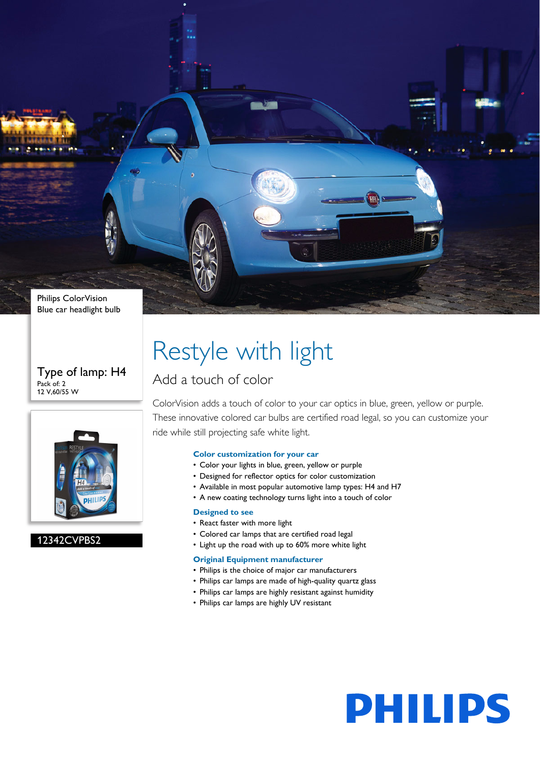

#### Type of lamp: H4 Pack of: 2 12 V,60/55 W



#### 12342CVPBS2

## Restyle with light

### Add a touch of color

ColorVision adds a touch of color to your car optics in blue, green, yellow or purple. These innovative colored car bulbs are certified road legal, so you can customize your ride while still projecting safe white light.

#### **Color customization for your car**

- Color your lights in blue, green, yellow or purple
- Designed for reflector optics for color customization
- Available in most popular automotive lamp types: H4 and H7
- A new coating technology turns light into a touch of color

#### **Designed to see**

- React faster with more light
- Colored car lamps that are certified road legal
- Light up the road with up to 60% more white light

#### **Original Equipment manufacturer**

- Philips is the choice of major car manufacturers
- Philips car lamps are made of high-quality quartz glass
- Philips car lamps are highly resistant against humidity
- Philips car lamps are highly UV resistant

# **PHILIPS**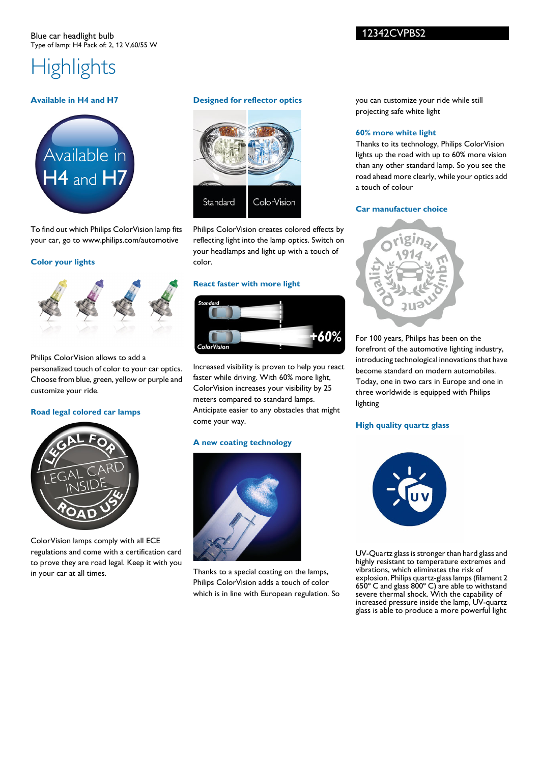#### 12342CVPBS2

## **Highlights**

#### **Available in H4 and H7**



To find out which Philips ColorVision lamp fits your car, go to www.philips.com/automotive

#### **Color your lights**



#### Philips ColorVision allows to add a

personalized touch of color to your car optics. Choose from blue, green, yellow or purple and customize your ride.

#### **Road legal colored car lamps**



ColorVision lamps comply with all ECE regulations and come with a certification card to prove they are road legal. Keep it with you in your car at all times.

#### **Designed for reflector optics**



Philips ColorVision creates colored effects by reflecting light into the lamp optics. Switch on your headlamps and light up with a touch of color.

#### **React faster with more light**



Increased visibility is proven to help you react faster while driving. With 60% more light, ColorVision increases your visibility by 25 meters compared to standard lamps. Anticipate easier to any obstacles that might come your way.

#### **A new coating technology**



Thanks to a special coating on the lamps, Philips ColorVision adds a touch of color which is in line with European regulation. So you can customize your ride while still projecting safe white light

#### **60% more white light**

Thanks to its technology, Philips ColorVision lights up the road with up to 60% more vision than any other standard lamp. So you see the road ahead more clearly, while your optics add a touch of colour

#### **Car manufactuer choice**



For 100 years, Philips has been on the forefront of the automotive lighting industry, introducing technological innovations that have become standard on modern automobiles. Today, one in two cars in Europe and one in three worldwide is equipped with Philips lighting

#### **High quality quartz glass**



UV-Quartz glass is stronger than hard glass and highly resistant to temperature extremes and vibrations, which eliminates the risk of explosion. Philips quartz-glass lamps (filament 2 650º C and glass 800º C) are able to withstand severe thermal shock. With the capability of increased pressure inside the lamp, UV-quartz glass is able to produce a more powerful light